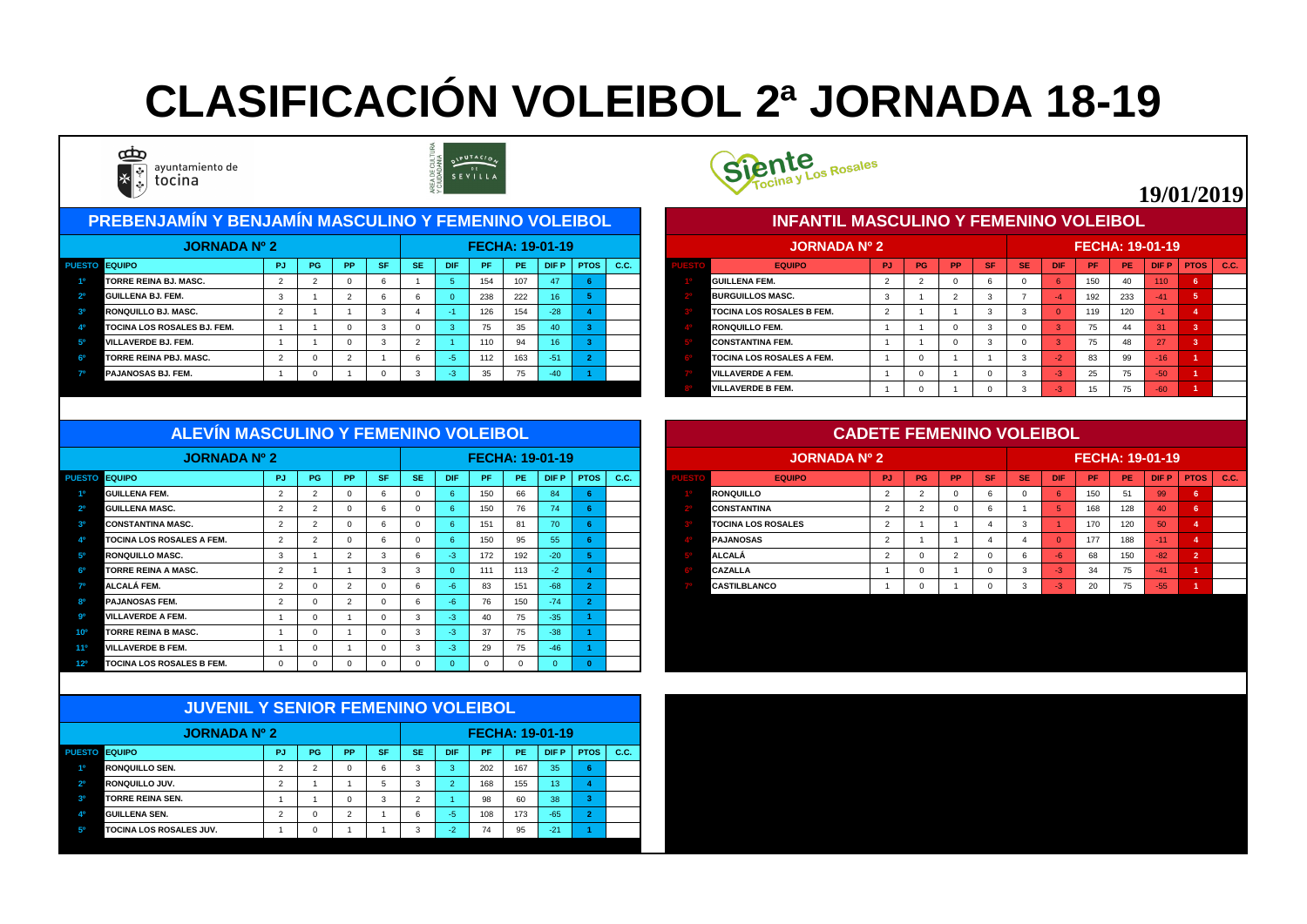| <u> I PREBENJAMÍN Y BENJAMÍN MASCULINO Y FEMENINO VOLEIBOL </u> |           |           |           |           |            |            |     |                        |                 |      |                                       | <b>INFANTIL MASCULINO Y FEMENINO VOLEIBOL</b> |     |    |           |           |           |            |     |                        |                 |             |      |
|-----------------------------------------------------------------|-----------|-----------|-----------|-----------|------------|------------|-----|------------------------|-----------------|------|---------------------------------------|-----------------------------------------------|-----|----|-----------|-----------|-----------|------------|-----|------------------------|-----------------|-------------|------|
| <b>JORNADA Nº 2</b>                                             |           |           |           |           |            |            |     | <b>FECHA: 19-01-19</b> |                 |      |                                       | <b>JORNADA Nº 2</b>                           |     |    |           |           |           |            |     | <b>FECHA: 19-01-19</b> |                 |             |      |
| PUESTO EQUIPO                                                   | <b>PG</b> | <b>PP</b> | <b>SF</b> | <b>SE</b> | <b>DIF</b> | <b>/PF</b> | PE. |                        | $D$ IF P   PTOS | C.C. |                                       | <b>EQUIPO</b>                                 | PJ. | PG | <b>PP</b> | <b>SF</b> | <b>SE</b> | <b>DIF</b> | -PF | PE.                    | <b>DIFP</b>     | <b>PTOS</b> | C.C. |
| <b>TORRE REINA BJ. MASC.</b>                                    |           |           |           |           |            | 154        | 107 | 47                     |                 |      | <b>GUILLENA FEM.</b><br>150           |                                               |     |    |           |           |           |            |     |                        | 110             |             |      |
| <b>GUILLENA BJ. FEM.</b>                                        |           |           |           |           |            | 238        | 222 | 16 <sup>°</sup>        |                 |      | 233<br><b>BURGUILLOS MASC.</b><br>192 |                                               |     |    |           |           |           |            |     |                        |                 |             |      |
| <b>RONQUILLO BJ. MASC.</b>                                      |           |           |           |           |            | 126        | 154 | $-28$                  |                 |      |                                       | <b>TOCINA LOS ROSALES B FEM.</b>              |     |    |           |           |           |            | 119 | 120                    |                 |             |      |
| <b>TOCINA LOS ROSALES BJ. FEM.</b>                              |           |           |           |           |            |            | 35  | 40 <sub>l</sub>        |                 |      |                                       | <b>RONQUILLO FEM.</b>                         |     |    |           |           |           |            | 75  |                        |                 |             |      |
| <b>VILLAVERDE BJ. FEM.</b>                                      |           |           |           |           |            | 110        | 94  |                        |                 |      |                                       | <b>CONSTANTINA FEM.</b>                       |     |    |           |           |           |            | 75  |                        | 27              |             |      |
| <b>TORRE REINA PBJ. MASC.</b>                                   |           |           |           |           |            | 112        | 163 | $-51$                  |                 |      |                                       | <b>TOCINA LOS ROSALES A FEM.</b>              |     |    |           |           |           |            | 83  | 99                     | 16 <sup>1</sup> |             |      |
| <b>PAJANOSAS BJ. FEM.</b>                                       |           |           |           |           | жń         | 35         | 75  | $-40$                  |                 |      |                                       | <b>VILLAVERDE A FEM.</b>                      |     |    |           |           |           |            | 25  | $\overline{ }$<br>75.  | $-50$           |             |      |
|                                                                 |           |           |           |           |            |            |     |                        |                 |      |                                       |                                               |     |    |           |           |           |            |     |                        |                 |             |      |



|      | <b>JORNADA Nº 2</b>              |           |           |           |           |           |              |           |           | <b>FECHA: 19-01-19</b> |                |             |
|------|----------------------------------|-----------|-----------|-----------|-----------|-----------|--------------|-----------|-----------|------------------------|----------------|-------------|
| ESTO | <b>EQUIPO</b>                    | <b>PJ</b> | <b>PG</b> | <b>PP</b> | <b>SF</b> | <b>SE</b> | <b>DIF</b>   | <b>PF</b> | <b>PE</b> | <b>DIFP</b>            | <b>PTOS</b>    | <b>C.C.</b> |
|      | <b>IGUILLENA FEM.</b>            | 2         | 2         | $\Omega$  | 6         | $\Omega$  | 6            | 150       | 40        | 110                    | $6\phantom{1}$ |             |
|      | <b>BURGUILLOS MASC.</b>          | 3         |           | 2         | 3         | ⇁         | -4           | 192       | 233       | $-41$                  | $5\phantom{1}$ |             |
|      | <b>TOCINA LOS ROSALES B FEM.</b> | 2         |           |           | 3         | 3         | $\Omega$     | 119       | 120       | $-1$                   | 4              |             |
|      | <b>RONQUILLO FEM.</b>            |           |           | $\Omega$  | 3         | $\Omega$  | $\mathbf{3}$ | 75        | 44        | 31                     | 3              |             |
|      | <b>CONSTANTINA FEM.</b>          |           |           | $\Omega$  | 3         | $\Omega$  | 3            | 75        | 48        | 27                     | 3              |             |
|      | <b>TOCINA LOS ROSALES A FEM.</b> |           | 0         |           |           | 3         | $-2$         | 83        | .99       | $-16$                  | 1              |             |
|      | <b>VILLAVERDE A FEM.</b>         |           | $\Omega$  |           | $\Omega$  | 3         | $-3$         | 25        | 75        | $-50$                  | 1              |             |
|      | <b>IVILLAVERDE B FEM.</b>        |           | 0         |           | $\Omega$  | 3         | $-3$         | 15        | 75        | $-60$                  | и              |             |

| ALEVIN MASCULINU I FEMENINU VULEIBUL |    |           |           |           |           |            |     |           |                        |             |     |  |                           | <u>CADETE FEMENINO VOLEIDOL</u> |           |           |           |           |            |                        |     |             |               |
|--------------------------------------|----|-----------|-----------|-----------|-----------|------------|-----|-----------|------------------------|-------------|-----|--|---------------------------|---------------------------------|-----------|-----------|-----------|-----------|------------|------------------------|-----|-------------|---------------|
| JORNADA Nº 2                         |    |           |           |           |           |            |     |           | <b>FECHA: 19-01-19</b> |             |     |  | <b>JORNADA Nº 2</b>       |                                 |           |           |           |           |            | <b>FECHA: 19-01-19</b> |     |             |               |
| PUESTO EQUIPO                        | PJ | <b>PG</b> | <b>PP</b> | <b>SF</b> | <b>SE</b> | <b>DIF</b> | /PF | <b>PE</b> | DIF P                  | <b>PTOS</b> | CC. |  | <b>EQUIPO</b>             | PJ.                             | <b>PG</b> | <b>PP</b> | <b>SF</b> | <b>SE</b> | <b>DIF</b> | <b>PF</b>              | PE  | <b>DIFP</b> | $PTOS$ $C.C.$ |
| <b>GUILLENA FEM.</b>                 |    |           |           |           |           |            | 150 | 66        | 84                     |             |     |  | <b>RONQUILLO</b>          |                                 |           |           |           |           |            | 150                    | -51 | 99          |               |
| <b>GUILLENA MASC.</b>                |    |           |           |           |           |            | 150 | 76        |                        |             |     |  | <b>CONSTANTINA</b>        |                                 |           |           |           |           |            | 168                    | 128 | 40          |               |
| <b>CONSTANTINA MASC.</b>             |    |           |           |           |           |            | 151 | 81        | 70                     |             |     |  | <b>TOCINA LOS ROSALES</b> |                                 |           |           |           |           |            | 170                    | 120 | 50          |               |
| <b>TOCINA LOS ROSALES A FEM.</b>     |    |           |           |           |           |            | 150 | 95        | 55 <sub>o</sub>        |             |     |  | <b>PAJANOSAS</b>          |                                 |           |           |           |           |            | 177                    | 188 | Æ117        |               |
| <b>RONQUILLO MASC.</b>               |    |           |           |           |           |            | 172 | 192       | $-20$                  |             |     |  | <b>ALCALÁ</b>             |                                 |           |           |           |           |            | 68                     | 150 | $-82$       |               |
| <b>TORRE REINA A MASC.</b>           |    |           |           |           |           |            | 111 | 113       |                        |             |     |  | <b>CAZALLA</b>            |                                 |           |           |           |           |            | 34                     | 75  | $-41$       |               |
| <b>ALCALÁ FEM.</b>                   |    |           |           |           |           |            | 83  | 151       | $-68-$                 |             |     |  | <b>CASTILBLANCO</b>       |                                 |           |           |           |           |            | 20                     | 75  | $-55$       |               |
| <b>PAJANOSAS FEM.</b>                |    |           |           |           |           |            |     | 150       | -74                    |             |     |  |                           |                                 |           |           |           |           |            |                        |     |             |               |

| <b>JORNADA Nº 2</b>                              |                |    |           |               |               |            | <b>FECHA: 19-01-19</b> |          |             |             |      |
|--------------------------------------------------|----------------|----|-----------|---------------|---------------|------------|------------------------|----------|-------------|-------------|------|
| <b>EQUIPO</b><br><b>PUESTO</b>                   | <b>PJ</b>      | PG | <b>PP</b> | <b>SF</b>     | <b>SE</b>     | <b>DIF</b> | <b>PF</b>              | PE.      | <b>DIFP</b> | <b>PTOS</b> | C.C. |
| <b>GUILLENA FEM.</b><br>10                       | 2              |    |           |               |               |            | 150                    | 66       | 84          |             |      |
| 2 <sup>0</sup><br><b>GUILLENA MASC.</b>          | $\overline{2}$ |    |           | 6             |               |            | 150                    | 76       | 74          |             |      |
| <b>CONSTANTINA MASC.</b>                         | $\overline{2}$ |    |           | 6             |               |            | 151                    | 81       | 70          |             |      |
| <b>TOCINA LOS ROSALES A FEM.</b>                 | $\overline{2}$ |    |           |               |               |            | 150                    | 95       | 55          |             |      |
| 5 <sup>0</sup><br><b>RONQUILLO MASC.</b>         | -3             |    |           | $\mathcal{R}$ |               | -3         | 172                    | 192      | $-20$       |             |      |
| <b>TORRE REINA A MASC.</b>                       | $\overline{2}$ |    |           | 3             | -3            |            | 111                    | 113      | $-2$        |             |      |
| 70<br>ALCALÁ FEM.                                | $\overline{2}$ |    |           |               | <sub>10</sub> |            | 83                     | 151      | $-68$       |             |      |
| <b>PAJANOSAS FEM.</b>                            | $\overline{2}$ |    |           |               |               |            | 76                     | 150      | $-74$       |             |      |
| .go<br><b>VILLAVERDE A FEM.</b>                  |                |    |           |               | 3             | -3         | 40                     | 75       | $-35$       |             |      |
| <b>TORRE REINA B MASC.</b><br>10 <sup>o</sup>    |                |    |           |               | -3            | -3         | 37                     | 75       | $-38$       |             |      |
| <b>VILLAVERDE B FEM.</b><br>$11^{\circ}$         |                |    |           |               | -3            | -3         | 29                     | 75       | $-46$       |             |      |
| <b>TOCINA LOS ROSALES B FEM.</b><br>$12^{\circ}$ | $\Omega$       |    |           |               |               |            |                        | $\Omega$ |             |             |      |

|                | <b>JUVENIL Y SENIOR FEMENINO VOLEIBOL</b> |                |    |           |           |           |            |                        |           |             |                |      |
|----------------|-------------------------------------------|----------------|----|-----------|-----------|-----------|------------|------------------------|-----------|-------------|----------------|------|
|                | <b>JORNADA Nº 2</b>                       |                |    |           |           |           |            | <b>FECHA: 19-01-19</b> |           |             |                |      |
| <b>PUESTO</b>  | <b>EQUIPO</b>                             | <b>PJ</b>      | PG | <b>PP</b> | <b>SF</b> | <b>SE</b> | <b>DIF</b> | <b>PF</b>              | <b>PE</b> | <b>DIFP</b> | <b>PTOS</b>    | C.C. |
| 1 <sup>0</sup> | <b>IRONQUILLO SEN.</b>                    | $\overline{2}$ | 2  | 0         | 6         | 3         | 3          | 202                    | 167       | 35          | 6              |      |
| 2 <sup>0</sup> | <b>IRONQUILLO JUV.</b>                    | $\overline{2}$ |    |           | 5         | 3         | 2          | 168                    | 155       | 13          | 4              |      |
| 3 <sup>o</sup> | <b>TORRE REINA SEN.</b>                   |                |    |           | 3         | 2         |            | 98                     | 60        | 38          | 3              |      |
| 40             | <b>GUILLENA SEN.</b>                      | $\overline{2}$ | 0  | 2         |           | 6         | $-5$       | 108                    | 173       | $-65$       | $\overline{2}$ |      |
| 50             | <b>TOCINA LOS ROSALES JUV.</b>            |                | 0  |           |           | 3         | $-2$       | 74                     | 95        | $-21$       |                |      |



# **CLASIFICACIÓN VOLEIBOL 2ª JORNADA 18-19**



ayuntamiento de tocina



## **19/01/2019**

#### **CADETE FEMENINO VOLEIBOL**

#### **INFANTIL MASCULINO Y FEMENINO VOLEIBOL**

#### **ALEVÍN MASCULINO Y FEMENINO VOLEIBOL**